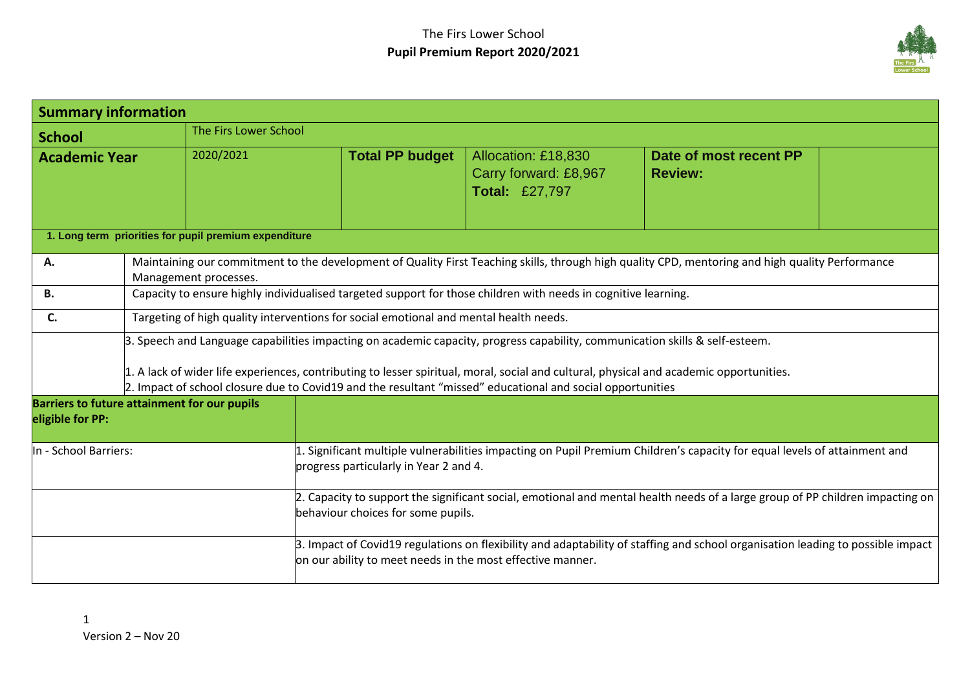

| <b>Summary information</b>                                              |                                                                                                                                                                                                                                                       |                                                                                                                                                                     |                                                            |                                                                       |                                                                                                                                                  |  |
|-------------------------------------------------------------------------|-------------------------------------------------------------------------------------------------------------------------------------------------------------------------------------------------------------------------------------------------------|---------------------------------------------------------------------------------------------------------------------------------------------------------------------|------------------------------------------------------------|-----------------------------------------------------------------------|--------------------------------------------------------------------------------------------------------------------------------------------------|--|
| <b>School</b>                                                           |                                                                                                                                                                                                                                                       | The Firs Lower School                                                                                                                                               |                                                            |                                                                       |                                                                                                                                                  |  |
| <b>Academic Year</b>                                                    |                                                                                                                                                                                                                                                       | 2020/2021                                                                                                                                                           | <b>Total PP budget</b>                                     | Allocation: £18,830<br>Carry forward: £8,967<br><b>Total: £27,797</b> | Date of most recent PP<br><b>Review:</b>                                                                                                         |  |
|                                                                         |                                                                                                                                                                                                                                                       | 1. Long term priorities for pupil premium expenditure                                                                                                               |                                                            |                                                                       |                                                                                                                                                  |  |
| Α.                                                                      |                                                                                                                                                                                                                                                       | Management processes.                                                                                                                                               |                                                            |                                                                       | Maintaining our commitment to the development of Quality First Teaching skills, through high quality CPD, mentoring and high quality Performance |  |
| <b>B.</b>                                                               |                                                                                                                                                                                                                                                       | Capacity to ensure highly individualised targeted support for those children with needs in cognitive learning.                                                      |                                                            |                                                                       |                                                                                                                                                  |  |
| C.                                                                      |                                                                                                                                                                                                                                                       | Targeting of high quality interventions for social emotional and mental health needs.                                                                               |                                                            |                                                                       |                                                                                                                                                  |  |
|                                                                         |                                                                                                                                                                                                                                                       | 3. Speech and Language capabilities impacting on academic capacity, progress capability, communication skills & self-esteem.                                        |                                                            |                                                                       |                                                                                                                                                  |  |
|                                                                         | 1. A lack of wider life experiences, contributing to lesser spiritual, moral, social and cultural, physical and academic opportunities.<br>2. Impact of school closure due to Covid19 and the resultant "missed" educational and social opportunities |                                                                                                                                                                     |                                                            |                                                                       |                                                                                                                                                  |  |
| <b>Barriers to future attainment for our pupils</b><br>eligible for PP: |                                                                                                                                                                                                                                                       |                                                                                                                                                                     |                                                            |                                                                       |                                                                                                                                                  |  |
| In - School Barriers:                                                   |                                                                                                                                                                                                                                                       | 1. Significant multiple vulnerabilities impacting on Pupil Premium Children's capacity for equal levels of attainment and<br>progress particularly in Year 2 and 4. |                                                            |                                                                       |                                                                                                                                                  |  |
|                                                                         |                                                                                                                                                                                                                                                       |                                                                                                                                                                     | behaviour choices for some pupils.                         |                                                                       | 2. Capacity to support the significant social, emotional and mental health needs of a large group of PP children impacting on                    |  |
|                                                                         |                                                                                                                                                                                                                                                       |                                                                                                                                                                     | on our ability to meet needs in the most effective manner. |                                                                       | 3. Impact of Covid19 regulations on flexibility and adaptability of staffing and school organisation leading to possible impact                  |  |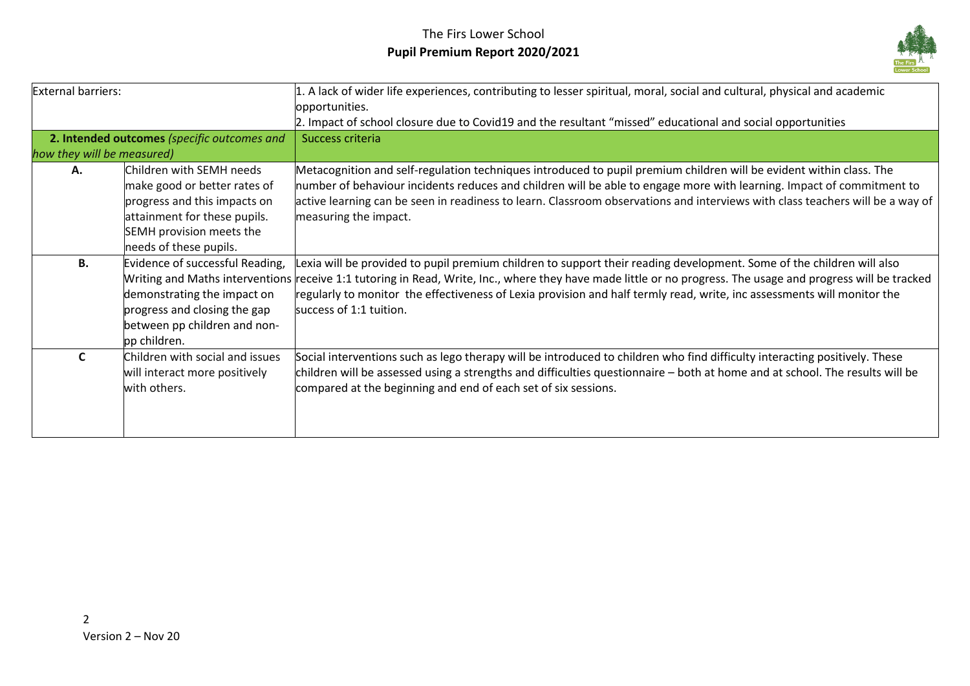## The Firs Lower School **Pupil Premium Report 2020/2021**



| <b>External barriers:</b>  |                                             | 1. A lack of wider life experiences, contributing to lesser spiritual, moral, social and cultural, physical and academic<br>opportunities.                    |
|----------------------------|---------------------------------------------|---------------------------------------------------------------------------------------------------------------------------------------------------------------|
|                            |                                             | 2. Impact of school closure due to Covid19 and the resultant "missed" educational and social opportunities                                                    |
|                            | 2. Intended outcomes (specific outcomes and | Success criteria                                                                                                                                              |
| how they will be measured) |                                             |                                                                                                                                                               |
| А.                         | Children with SEMH needs                    | Metacognition and self-regulation techniques introduced to pupil premium children will be evident within class. The                                           |
|                            | make good or better rates of                | number of behaviour incidents reduces and children will be able to engage more with learning. Impact of commitment to                                         |
|                            | progress and this impacts on                | active learning can be seen in readiness to learn. Classroom observations and interviews with class teachers will be a way of                                 |
|                            | attainment for these pupils.                | measuring the impact.                                                                                                                                         |
| SEMH provision meets the   |                                             |                                                                                                                                                               |
|                            | needs of these pupils.                      |                                                                                                                                                               |
| В.                         | Evidence of successful Reading,             | Lexia will be provided to pupil premium children to support their reading development. Some of the children will also                                         |
|                            |                                             | Writing and Maths interventions receive 1:1 tutoring in Read, Write, Inc., where they have made little or no progress. The usage and progress will be tracked |
|                            | demonstrating the impact on                 | regularly to monitor the effectiveness of Lexia provision and half termly read, write, inc assessments will monitor the                                       |
|                            | progress and closing the gap                | success of 1:1 tuition.                                                                                                                                       |
|                            | between pp children and non-                |                                                                                                                                                               |
|                            | pp children.                                |                                                                                                                                                               |
| C                          | Children with social and issues             | Social interventions such as lego therapy will be introduced to children who find difficulty interacting positively. These                                    |
|                            | will interact more positively               | children will be assessed using a strengths and difficulties questionnaire – both at home and at school. The results will be                                  |
|                            | with others.                                | compared at the beginning and end of each set of six sessions.                                                                                                |
|                            |                                             |                                                                                                                                                               |
|                            |                                             |                                                                                                                                                               |
|                            |                                             |                                                                                                                                                               |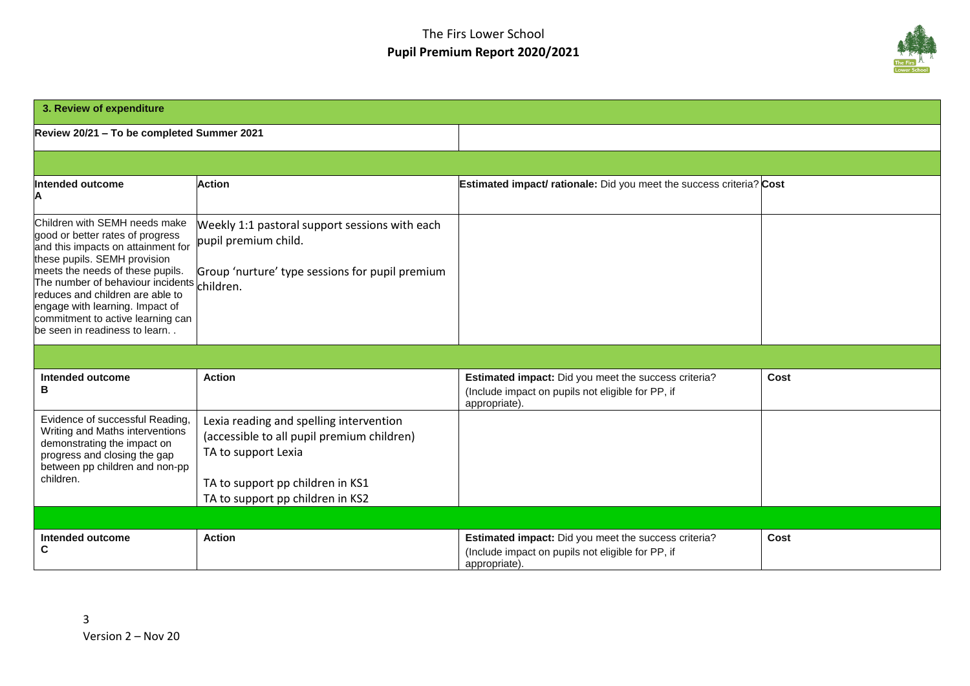## The Firs Lower School **Pupil Premium Report 2020/2021**



| 3. Review of expenditure                                                                                                                                                                                                                                                                                                                                                |                                                                                                                                                                                      |                                                                                                                            |      |  |
|-------------------------------------------------------------------------------------------------------------------------------------------------------------------------------------------------------------------------------------------------------------------------------------------------------------------------------------------------------------------------|--------------------------------------------------------------------------------------------------------------------------------------------------------------------------------------|----------------------------------------------------------------------------------------------------------------------------|------|--|
| Review 20/21 - To be completed Summer 2021                                                                                                                                                                                                                                                                                                                              |                                                                                                                                                                                      |                                                                                                                            |      |  |
|                                                                                                                                                                                                                                                                                                                                                                         |                                                                                                                                                                                      |                                                                                                                            |      |  |
| Intended outcome<br>A                                                                                                                                                                                                                                                                                                                                                   | <b>Action</b>                                                                                                                                                                        | <b>Estimated impact/ rationale:</b> Did you meet the success criteria? Cost                                                |      |  |
| Children with SEMH needs make<br>good or better rates of progress<br>and this impacts on attainment for<br>these pupils. SEMH provision<br>meets the needs of these pupils.<br>The number of behaviour incidents children.<br>reduces and children are able to<br>engage with learning. Impact of<br>commitment to active learning can<br>be seen in readiness to learn | Weekly 1:1 pastoral support sessions with each<br>pupil premium child.<br>Group 'nurture' type sessions for pupil premium                                                            |                                                                                                                            |      |  |
|                                                                                                                                                                                                                                                                                                                                                                         |                                                                                                                                                                                      |                                                                                                                            |      |  |
| Intended outcome<br>в                                                                                                                                                                                                                                                                                                                                                   | <b>Action</b>                                                                                                                                                                        | Estimated impact: Did you meet the success criteria?<br>(Include impact on pupils not eligible for PP, if<br>appropriate). | Cost |  |
| Evidence of successful Reading,<br>Writing and Maths interventions<br>demonstrating the impact on<br>progress and closing the gap<br>between pp children and non-pp<br>children.                                                                                                                                                                                        | Lexia reading and spelling intervention<br>(accessible to all pupil premium children)<br>TA to support Lexia<br>TA to support pp children in KS1<br>TA to support pp children in KS2 |                                                                                                                            |      |  |
|                                                                                                                                                                                                                                                                                                                                                                         |                                                                                                                                                                                      |                                                                                                                            |      |  |
| Intended outcome<br>С                                                                                                                                                                                                                                                                                                                                                   | <b>Action</b>                                                                                                                                                                        | Estimated impact: Did you meet the success criteria?<br>(Include impact on pupils not eligible for PP, if<br>appropriate). | Cost |  |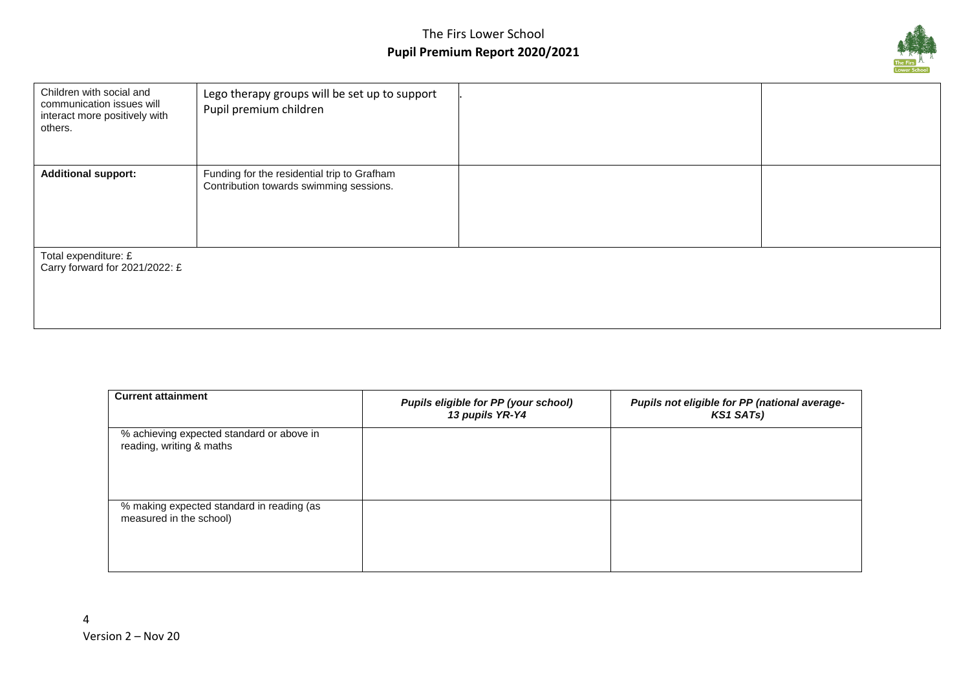

| Children with social and<br>communication issues will<br>interact more positively with<br>others. | Lego therapy groups will be set up to support<br>Pupil premium children                |  |
|---------------------------------------------------------------------------------------------------|----------------------------------------------------------------------------------------|--|
| <b>Additional support:</b>                                                                        | Funding for the residential trip to Grafham<br>Contribution towards swimming sessions. |  |
| Total expenditure: £<br>Carry forward for 2021/2022: £                                            |                                                                                        |  |

| <b>Current attainment</b>                                             | Pupils eligible for PP (your school)<br>13 pupils YR-Y4 | Pupils not eligible for PP (national average-<br><b>KS1 SATs)</b> |
|-----------------------------------------------------------------------|---------------------------------------------------------|-------------------------------------------------------------------|
| % achieving expected standard or above in<br>reading, writing & maths |                                                         |                                                                   |
| % making expected standard in reading (as<br>measured in the school)  |                                                         |                                                                   |